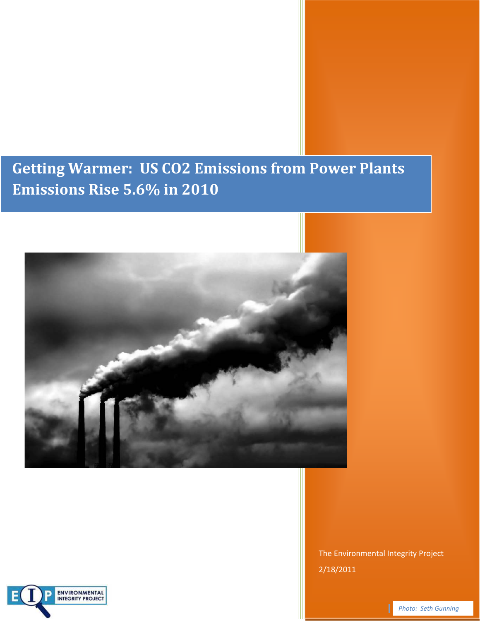## **Getting Warmer: US CO2 Emissions from Power Plants Emissions Rise 5.6% in 2010**



The Environmental Integrity Project 2/18/2011

ENVIRONMENTAL<br>INTEGRITY PROJECT

**Photo: Seth Gunning**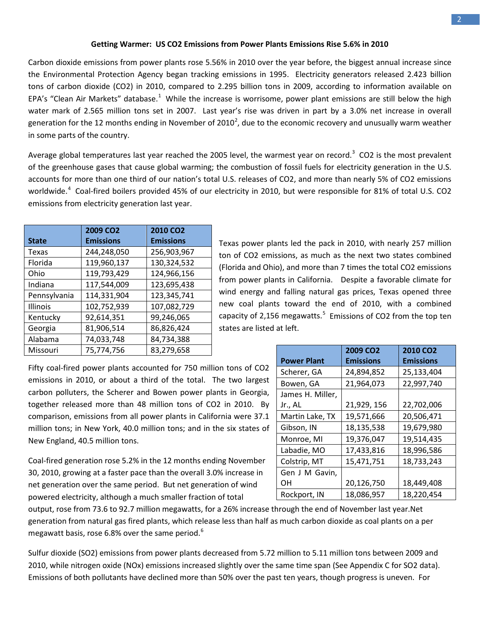Carbon dioxide emissions from power plants rose 5.56% in 2010 over the year before, the biggest annual increase since the Environmental Protection Agency began tracking emissions in 1995. Electricity generators released 2.423 billion tons of carbon dioxide (CO2) in 2010, compared to 2.295 billion tons in 2009, according to information available on EPA's "Clean Air Markets" database.<sup>[1](#page-6-0)</sup> While the increase is worrisome, power plant emissions are still below the high water mark of 2.565 million tons set in 2007. Last year's rise was driven in part by a 3.0% net increase in overall generation for the 1[2](#page-6-1) months ending in November of 2010<sup>2</sup>, due to the economic recovery and unusually warm weather in some parts of the country.

Average global temperatures last year reached the 2005 level, the warmest year on record.<sup>[3](#page-6-2)</sup> CO2 is the most prevalent of the greenhouse gases that cause global warming; the combustion of fossil fuels for electricity generation in the U.S. accounts for more than one third of our nation's total U.S. releases of CO2, and more than nearly 5% of CO2 emissions worldwide.<sup>[4](#page-6-3)</sup> Coal-fired boilers provided 45% of our electricity in 2010, but were responsible for 81% of total U.S. CO2 emissions from electricity generation last year.

|              | 2009 CO <sub>2</sub> | <b>2010 CO2</b>  |
|--------------|----------------------|------------------|
| <b>State</b> | <b>Emissions</b>     | <b>Emissions</b> |
| Texas        | 244,248,050          | 256,903,967      |
| Florida      | 119,960,137          | 130,324,532      |
| Ohio         | 119,793,429          | 124,966,156      |
| Indiana      | 117,544,009          | 123,695,438      |
| Pennsylvania | 114,331,904          | 123,345,741      |
| Illinois     | 102,752,939          | 107,082,729      |
| Kentucky     | 92,614,351           | 99,246,065       |
| Georgia      | 81,906,514           | 86,826,424       |
| Alabama      | 74,033,748           | 84,734,388       |
| Missouri     | 75,774,756           | 83,279,658       |

Texas power plants led the pack in 2010, with nearly 257 million ton of CO2 emissions, as much as the next two states combined (Florida and Ohio), and more than 7 times the total CO2 emissions from power plants in California. Despite a favorable climate for wind energy and falling natural gas prices, Texas opened three new coal plants toward the end of 2010, with a combined capacity of 2,1[5](#page-6-4)6 megawatts. $5$  Emissions of CO2 from the top ten states are listed at left.

Fifty coal-fired power plants accounted for 750 million tons of CO2 emissions in 2010, or about a third of the total. The two largest carbon polluters, the Scherer and Bowen power plants in Georgia, together released more than 48 million tons of CO2 in 2010. By comparison, emissions from all power plants in California were 37.1 million tons; in New York, 40.0 million tons; and in the six states of New England, 40.5 million tons.

Coal-fired generation rose 5.2% in the 12 months ending November 30, 2010, growing at a faster pace than the overall 3.0% increase in net generation over the same period. But net generation of wind powered electricity, although a much smaller fraction of total

|                    | 2009 CO <sub>2</sub> | <b>2010 CO2</b>  |
|--------------------|----------------------|------------------|
| <b>Power Plant</b> | <b>Emissions</b>     | <b>Emissions</b> |
| Scherer, GA        | 24,894,852           | 25,133,404       |
| Bowen, GA          | 21,964,073           | 22,997,740       |
| James H. Miller,   |                      |                  |
| Jr., AL            | 21,929, 156          | 22,702,006       |
| Martin Lake, TX    | 19,571,666           | 20,506,471       |
| Gibson, IN         | 18,135,538           | 19,679,980       |
| Monroe, MI         | 19,376,047           | 19,514,435       |
| Labadie, MO        | 17,433,816           | 18,996,586       |
| Colstrip, MT       | 15,471,751           | 18,733,243       |
| Gen J M Gavin,     |                      |                  |
| OΗ                 | 20,126,750           | 18,449,408       |
| Rockport, IN       | 18,086,957           | 18,220,454       |

output, rose from 73.6 to 92.7 million megawatts, for a 26% increase through the end of November last year.Net generation from natural gas fired plants, which release less than half as much carbon dioxide as coal plants on a per megawatt basis, rose [6](#page-6-5).8% over the same period.<sup>6</sup>

Sulfur dioxide (SO2) emissions from power plants decreased from 5.72 million to 5.11 million tons between 2009 and 2010, while nitrogen oxide (NOx) emissions increased slightly over the same time span (See Appendix C for SO2 data). Emissions of both pollutants have declined more than 50% over the past ten years, though progress is uneven. For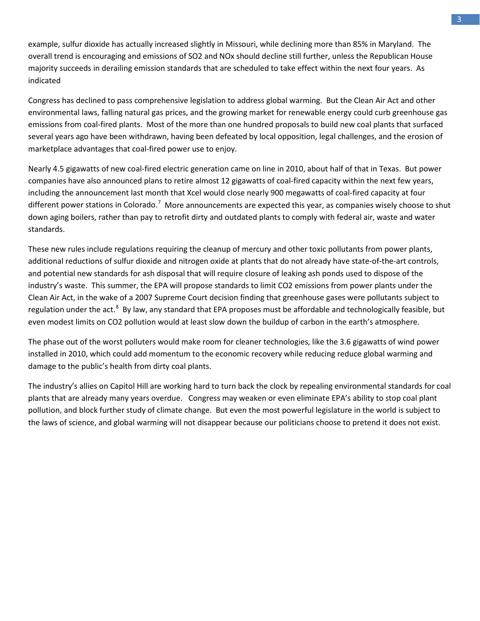example, sulfur dioxide has actually increased slightly in Missouri, while declining more than 85% in Maryland. The overall trend is encouraging and emissions of SO2 and NOx should decline still further, unless the Republican House majority succeeds in derailing emission standards that are scheduled to take effect within the next four years. As **indicated** 

Congress has declined to pass comprehensive legislation to address global warming. But the Clean Air Act and other environmental laws, falling natural gas prices, and the growing market for renewable energy could curb greenhouse gas emissions from coal-fired plants. Most of the more than one hundred proposals to build new coal plants that surfaced several years ago have been withdrawn, having been defeated by local opposition, legal challenges, and the erosion of marketplace advantages that coal-fired power use to enjoy.

Nearly 4.5 gigawatts of new coal-fired electric generation came on line in 2010, about half of that in Texas. But power companies have also announced plans to retire almost 12 gigawatts of coal-fired capacity within the next few years, including the announcement last month that Xcel would close nearly 900 megawatts of coal-fired capacity at four different power stations in Colorado.<sup>[7](#page-6-6)</sup> More announcements are expected this year, as companies wisely choose to shut down aging boilers, rather than pay to retrofit dirty and outdated plants to comply with federal air, waste and water standards.

These new rules include regulations requiring the cleanup of mercury and other toxic pollutants from power plants, additional reductions of sulfur dioxide and nitrogen oxide at plants that do not already have state-of-the-art controls, and potential new standards for ash disposal that will require closure of leaking ash ponds used to dispose of the industry's waste. This summer, the EPA will propose standards to limit CO2 emissions from power plants under the Clean Air Act, in the wake of a 2007 Supreme Court decision finding that greenhouse gases were pollutants subject to regulation under the act.<sup>[8](#page-6-7)</sup> By law, any standard that EPA proposes must be affordable and technologically feasible, but even modest limits on CO2 pollution would at least slow down the buildup of carbon in the earth's atmosphere.

The phase out of the worst polluters would make room for cleaner technologies, like the 3.6 gigawatts of wind power installed in 2010, which could add momentum to the economic recovery while reducing reduce global warming and damage to the public's health from dirty coal plants.

The industry's allies on Capitol Hill are working hard to turn back the clock by repealing environmental standards for coal plants that are already many years overdue. Congress may weaken or even eliminate EPA's ability to stop coal plant pollution, and block further study of climate change. But even the most powerful legislature in the world is subject to the laws of science, and global warming will not disappear because our politicians choose to pretend it does not exist.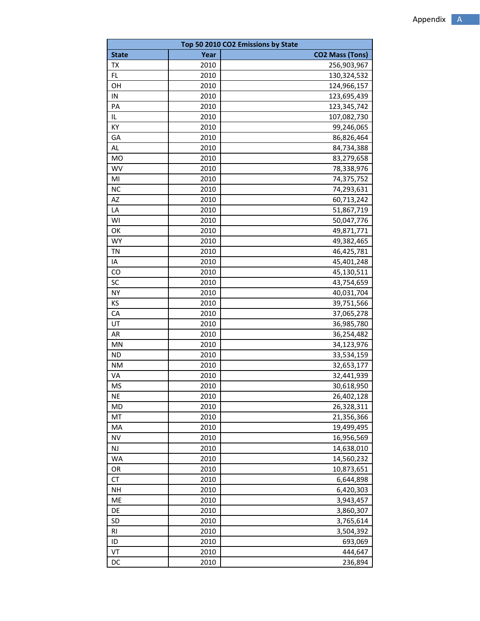| Top 50 2010 CO2 Emissions by State |              |                          |  |  |
|------------------------------------|--------------|--------------------------|--|--|
| <b>State</b>                       | Year         | <b>CO2 Mass (Tons)</b>   |  |  |
| TX                                 | 2010         | 256,903,967              |  |  |
| FL                                 | 2010         | 130,324,532              |  |  |
| OH                                 | 2010         | 124,966,157              |  |  |
| IN                                 | 2010         | 123,695,439              |  |  |
| PA                                 | 2010         | 123,345,742              |  |  |
| IL                                 | 2010         | 107,082,730              |  |  |
| KY                                 | 2010         | 99,246,065               |  |  |
| GA                                 | 2010         | 86,826,464               |  |  |
| AL                                 | 2010         | 84,734,388               |  |  |
| <b>MO</b>                          | 2010         | 83,279,658               |  |  |
| <b>WV</b>                          | 2010         | 78,338,976               |  |  |
| MI                                 | 2010         | 74,375,752               |  |  |
| <b>NC</b>                          | 2010         | 74,293,631               |  |  |
| AZ                                 | 2010         | 60,713,242               |  |  |
| LA                                 | 2010         | 51,867,719               |  |  |
| WI                                 | 2010         | 50,047,776               |  |  |
| OK                                 | 2010         | 49,871,771               |  |  |
| <b>WY</b>                          | 2010         | 49,382,465               |  |  |
| ΤN                                 | 2010         | 46,425,781               |  |  |
| IA                                 | 2010         | 45,401,248               |  |  |
| CO                                 | 2010         | 45,130,511               |  |  |
| SC                                 | 2010         | 43,754,659               |  |  |
| <b>NY</b>                          | 2010         | 40,031,704               |  |  |
| KS                                 | 2010         | 39,751,566               |  |  |
| CA                                 | 2010         | 37,065,278               |  |  |
| UT                                 | 2010         | 36,985,780               |  |  |
| AR                                 | 2010         | 36,254,482               |  |  |
| MN                                 | 2010         | 34,123,976               |  |  |
| <b>ND</b>                          | 2010         |                          |  |  |
| <b>NM</b>                          | 2010         | 33,534,159               |  |  |
| VA                                 | 2010         | 32,653,177<br>32,441,939 |  |  |
| <b>MS</b>                          | 2010         | 30,618,950               |  |  |
| <b>NE</b>                          |              |                          |  |  |
| MD                                 | 2010<br>2010 | 26,402,128<br>26,328,311 |  |  |
| MT                                 |              |                          |  |  |
| MA                                 | 2010         | 21,356,366               |  |  |
| <b>NV</b>                          | 2010<br>2010 | 19,499,495<br>16,956,569 |  |  |
| NJ                                 |              | 14,638,010               |  |  |
|                                    | 2010         |                          |  |  |
| WA                                 | 2010         | 14,560,232               |  |  |
| OR<br>CT                           | 2010         | 10,873,651               |  |  |
|                                    | 2010         | 6,644,898<br>6,420,303   |  |  |
| <b>NH</b><br>ME                    | 2010         |                          |  |  |
|                                    | 2010         | 3,943,457                |  |  |
| DE                                 | 2010         | 3,860,307                |  |  |
| SD                                 | 2010         | 3,765,614                |  |  |
| R1                                 | 2010         | 3,504,392                |  |  |
| ID                                 | 2010         | 693,069                  |  |  |
| VT                                 | 2010         | 444,647                  |  |  |
| DC                                 | 2010         | 236,894                  |  |  |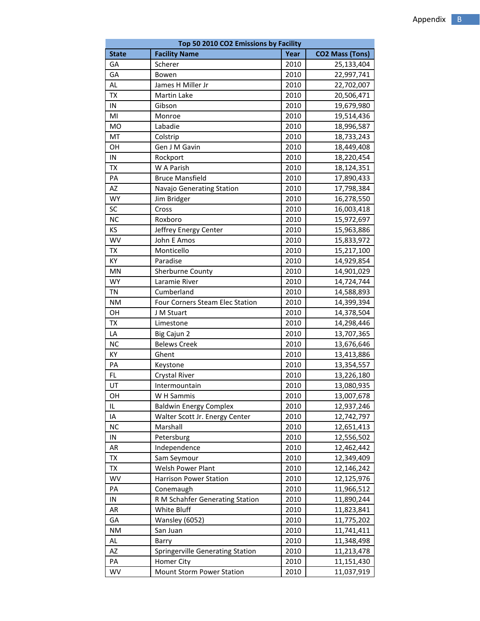| Top 50 2010 CO2 Emissions by Facility |                                  |      |                        |  |  |
|---------------------------------------|----------------------------------|------|------------------------|--|--|
| <b>State</b>                          | <b>Facility Name</b>             | Year | <b>CO2 Mass (Tons)</b> |  |  |
| GA                                    | Scherer                          | 2010 | 25,133,404             |  |  |
| GA                                    | Bowen                            | 2010 | 22,997,741             |  |  |
| AL                                    | James H Miller Jr                | 2010 | 22,702,007             |  |  |
| <b>TX</b>                             | Martin Lake                      | 2010 | 20,506,471             |  |  |
| IN                                    | Gibson                           | 2010 | 19,679,980             |  |  |
| MI                                    | Monroe                           | 2010 | 19,514,436             |  |  |
| <b>MO</b>                             | Labadie                          | 2010 | 18,996,587             |  |  |
| MT                                    | Colstrip                         | 2010 | 18,733,243             |  |  |
| OH                                    | Gen J M Gavin                    | 2010 | 18,449,408             |  |  |
| IN                                    | Rockport                         | 2010 | 18,220,454             |  |  |
| TX                                    | W A Parish                       | 2010 | 18,124,351             |  |  |
| PA                                    | <b>Bruce Mansfield</b>           | 2010 | 17,890,433             |  |  |
| <b>AZ</b>                             | Navajo Generating Station        | 2010 | 17,798,384             |  |  |
| <b>WY</b>                             | Jim Bridger                      | 2010 | 16,278,550             |  |  |
| SC                                    | Cross                            | 2010 | 16,003,418             |  |  |
| <b>NC</b>                             | Roxboro                          | 2010 | 15,972,697             |  |  |
| KS                                    | Jeffrey Energy Center            | 2010 | 15,963,886             |  |  |
| <b>WV</b>                             | John E Amos                      | 2010 | 15,833,972             |  |  |
| <b>TX</b>                             | Monticello                       | 2010 | 15,217,100             |  |  |
| KY                                    | Paradise                         | 2010 | 14,929,854             |  |  |
| MN                                    | Sherburne County                 | 2010 | 14,901,029             |  |  |
| <b>WY</b>                             | Laramie River                    | 2010 | 14,724,744             |  |  |
| <b>TN</b>                             | Cumberland                       | 2010 | 14,588,893             |  |  |
| <b>NM</b>                             | Four Corners Steam Elec Station  | 2010 | 14,399,394             |  |  |
| OH                                    | J M Stuart                       | 2010 | 14,378,504             |  |  |
| TX                                    | Limestone                        | 2010 | 14,298,446             |  |  |
| LA                                    | Big Cajun 2                      | 2010 | 13,707,365             |  |  |
| <b>NC</b>                             | <b>Belews Creek</b>              | 2010 | 13,676,646             |  |  |
| KY                                    | Ghent                            | 2010 | 13,413,886             |  |  |
| PA                                    | Keystone                         | 2010 | 13,354,557             |  |  |
| <b>FL</b>                             | <b>Crystal River</b>             | 2010 | 13,226,180             |  |  |
| UT                                    | Intermountain                    | 2010 | 13,080,935             |  |  |
| ΟH                                    | W H Sammis                       | 2010 | 13,007,678             |  |  |
| IL                                    | <b>Baldwin Energy Complex</b>    | 2010 | 12,937,246             |  |  |
| IA                                    | Walter Scott Jr. Energy Center   | 2010 | 12,742,797             |  |  |
| <b>NC</b>                             | Marshall                         | 2010 | 12,651,413             |  |  |
| IN                                    | Petersburg                       | 2010 | 12,556,502             |  |  |
| AR                                    | Independence                     | 2010 | 12,462,442             |  |  |
| TX                                    | Sam Seymour                      | 2010 | 12,349,409             |  |  |
| TX                                    | Welsh Power Plant                | 2010 | 12,146,242             |  |  |
| WV                                    | <b>Harrison Power Station</b>    | 2010 | 12,125,976             |  |  |
| PA                                    | Conemaugh                        | 2010 | 11,966,512             |  |  |
| ${\sf IN}$                            | R M Schahfer Generating Station  | 2010 | 11,890,244             |  |  |
| AR                                    | White Bluff                      | 2010 | 11,823,841             |  |  |
| GA                                    | Wansley (6052)                   | 2010 | 11,775,202             |  |  |
| ΝM                                    | San Juan                         | 2010 | 11,741,411             |  |  |
| AL                                    | Barry                            | 2010 | 11,348,498             |  |  |
| AZ                                    | Springerville Generating Station | 2010 | 11,213,478             |  |  |
| PA                                    | Homer City                       | 2010 | 11,151,430             |  |  |
| WV                                    | Mount Storm Power Station        | 2010 | 11,037,919             |  |  |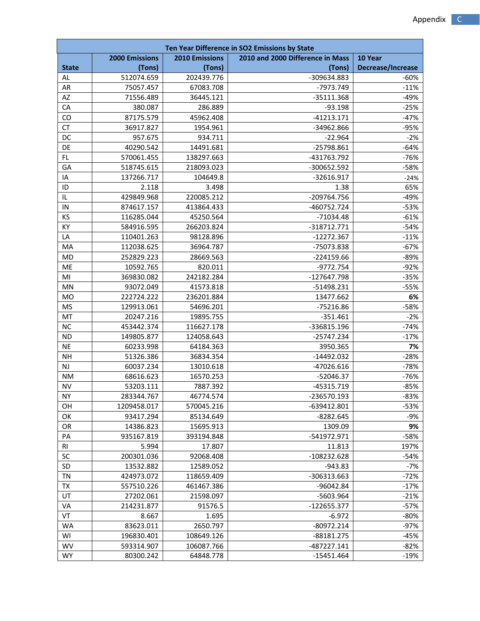| Ten Year Difference in SO2 Emissions by State |                        |                       |                                  |                   |
|-----------------------------------------------|------------------------|-----------------------|----------------------------------|-------------------|
|                                               | <b>2000 Emissions</b>  | <b>2010 Emissions</b> | 2010 and 2000 Difference in Mass | 10 Year           |
| <b>State</b>                                  | (Tons)                 | (Tons)                | (Tons)                           | Decrease/Increase |
| AL                                            | 512074.659             | 202439.776            | -309634.883                      | $-60%$            |
| <b>AR</b>                                     | 75057.457              | 67083.708             | -7973.749                        | $-11%$            |
| AZ                                            | 71556.489              | 36445.121             | $-35111.368$                     | $-49%$            |
| CA                                            | 380.087                | 286.889               | $-93.198$                        | $-25%$            |
| CO                                            | 87175.579              | 45962.408             | $-41213.171$                     | $-47%$            |
| CT                                            | 36917.827              | 1954.961              | -34962.866                       | $-95%$            |
| DC                                            | 957.675                | 934.711               | $-22.964$                        | $-2%$             |
| DE                                            | 40290.542              | 14491.681             | -25798.861                       | $-64%$            |
| FL                                            | 570061.455             | 138297.663            | -431763.792                      | $-76%$            |
| GA                                            | 518745.615             | 218093.023            | -300652.592                      | $-58%$            |
| IA                                            | 137266.717             | 104649.8              | $-32616.917$                     | $-24%$            |
| ID                                            | 2.118                  | 3.498                 | 1.38                             | 65%               |
| IL                                            | 429849.968             | 220085.212            | -209764.756                      | $-49%$            |
| IN                                            | 874617.157             | 413864.433            | -460752.724                      | $-53%$            |
| KS                                            | 116285.044             | 45250.564             | $-71034.48$                      | $-61%$            |
| KY                                            | 584916.595             | 266203.824            | $-318712.771$                    | $-54%$            |
| LA                                            | 110401.263             | 98128.896             | $-12272.367$                     | $-11%$            |
| MA                                            | 112038.625             | 36964.787             | -75073.838                       | $-67%$            |
| MD                                            | 252829.223             | 28669.563             | $-224159.66$                     | $-89%$            |
| ME                                            | 10592.765              | 820.011               | $-9772.754$                      | $-92%$            |
| MI                                            | 369830.082             | 242182.284            | -127647.798                      | $-35%$            |
| MN                                            | 93072.049              | 41573.818             | $-51498.231$                     | $-55%$            |
| MO                                            | 222724.222             | 236201.884            | 13477.662                        | 6%                |
| <b>MS</b>                                     | 129913.061             | 54696.201             | $-75216.86$                      | $-58%$            |
| MT                                            | 20247.216              | 19895.755             | $-351.461$                       | $-2%$             |
| <b>NC</b>                                     | 453442.374             | 116627.178            | -336815.196                      | $-74%$            |
| <b>ND</b>                                     | 149805.877             | 124058.643            | $-25747.234$                     | $-17%$            |
| <b>NE</b>                                     | 60233.998              | 64184.363             | 3950.365                         | 7%                |
| <b>NH</b>                                     |                        |                       |                                  | $-28%$            |
|                                               | 51326.386              | 36834.354             | $-14492.032$                     |                   |
| NJ                                            | 60037.234<br>68616.623 | 13010.618             | $-47026.616$                     | $-78%$            |
| NM                                            |                        | 16570.253             | $-52046.37$                      | $-76%$            |
| <b>NV</b>                                     | 53203.111              | 7887.392              | -45315.719                       | $-85%$            |
| <b>NY</b>                                     | 283344.767             | 46774.574             | -236570.193                      | $-83%$            |
| OH                                            | 1209458.017            | 570045.216            | -639412.801                      | $-53%$            |
| OK                                            | 93417.294              | 85134.649             | $-8282.645$                      | -9%               |
| OR                                            | 14386.823              | 15695.913             | 1309.09                          | 9%                |
| PA                                            | 935167.819             | 393194.848            | -541972.971                      | $-58%$            |
| RI                                            | 5.994                  | 17.807                | 11.813                           | 197%              |
| SC                                            | 200301.036             | 92068.408             | $-108232.628$                    | $-54%$            |
| SD                                            | 13532.882              | 12589.052             | $-943.83$                        | $-7%$             |
| <b>TN</b>                                     | 424973.072             | 118659.409            | -306313.663                      | $-72%$            |
| TX                                            | 557510.226             | 461467.386            | $-96042.84$                      | $-17%$            |
| UT                                            | 27202.061              | 21598.097             | -5603.964                        | $-21%$            |
| VA                                            | 214231.877             | 91576.5               | $-122655.377$                    | $-57%$            |
| VT                                            | 8.667                  | 1.695                 | $-6.972$                         | $-80%$            |
| WA                                            | 83623.011              | 2650.797              | $-80972.214$                     | $-97%$            |
| WI                                            | 196830.401             | 108649.126            | $-88181.275$                     | $-45%$            |
| <b>WV</b>                                     | 593314.907             | 106087.766            | -487227.141                      | $-82%$            |
| <b>WY</b>                                     | 80300.242              | 64848.778             | $-15451.464$                     | -19%              |